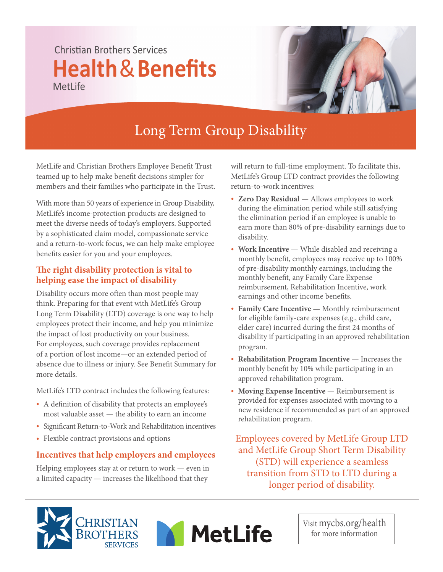## Christian Brothers Services **Health**&**Benefits** MetLife



# Long Term Group Disability

MetLife and Christian Brothers Employee Benefit Trust teamed up to help make benefit decisions simpler for members and their families who participate in the Trust.

With more than 50 years of experience in Group Disability, MetLife's income-protection products are designed to meet the diverse needs of today's employers. Supported by a sophisticated claim model, compassionate service and a return-to-work focus, we can help make employee benefits easier for you and your employees.

#### **e right disability protection is vital to helping ease the impact of disability**

Disability occurs more often than most people may think. Preparing for that event with MetLife's Group Long Term Disability (LTD) coverage is one way to help employees protect their income, and help you minimize the impact of lost productivity on your business. For employees, such coverage provides replacement of a portion of lost income—or an extended period of absence due to illness or injury. See Benefit Summary for more details.

MetLife's LTD contract includes the following features:

- A definition of disability that protects an employee's most valuable asset — the ability to earn an income
- Significant Return-to-Work and Rehabilitation incentives
- Flexible contract provisions and options

### **Incentives that help employers and employees**

Helping employees stay at or return to work — even in a limited capacity — increases the likelihood that they

will return to full-time employment. To facilitate this, MetLife's Group LTD contract provides the following return-to-work incentives:

- **Zero Day Residual** Allows employees to work during the elimination period while still satisfying the elimination period if an employee is unable to earn more than 80% of pre-disability earnings due to disability.
- **Work Incentive** While disabled and receiving a monthly benefit, employees may receive up to 100% of pre-disability monthly earnings, including the monthly benefit, any Family Care Expense reimbursement, Rehabilitation Incentive, work earnings and other income benefits.
- **Family Care Incentive** Monthly reimbursement for eligible family-care expenses (e.g., child care, elder care) incurred during the first 24 months of disability if participating in an approved rehabilitation program.
- **Rehabilitation Program Incentive** Increases the monthly benefit by 10% while participating in an approved rehabilitation program.
- **Moving Expense Incentive** Reimbursement is provided for expenses associated with moving to a new residence if recommended as part of an approved rehabilitation program.

Employees covered by MetLife Group LTD and MetLife Group Short Term Disability (STD) will experience a seamless transition from STD to LTD during a longer period of disability.





Visit mycbs.org/health for more information